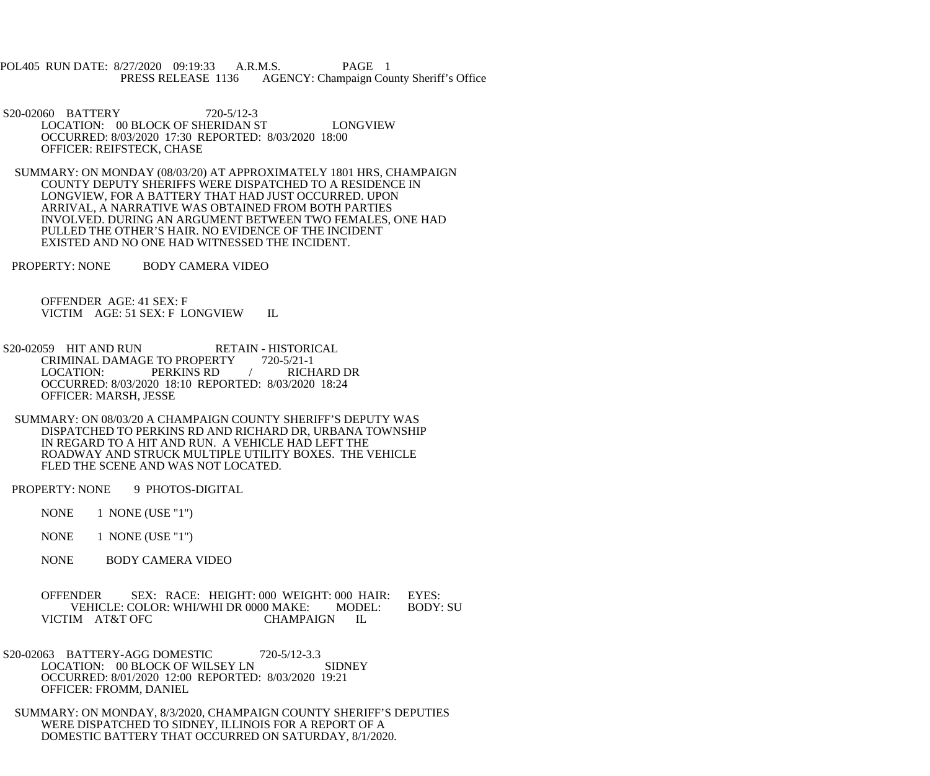POL405 RUN DATE: 8/27/2020 09:19:33 A.R.M.S. PAGE 1<br>PRESS RELEASE 1136 AGENCY: Champaign Cou AGENCY: Champaign County Sheriff's Office

 S20-02060 BATTERY 720-5/12-3 LOCATION: 00 BLOCK OF SHERIDAN ST LONGVIEW OCCURRED: 8/03/2020 17:30 REPORTED: 8/03/2020 18:00 OFFICER: REIFSTECK, CHASE

 SUMMARY: ON MONDAY (08/03/20) AT APPROXIMATELY 1801 HRS, CHAMPAIGN COUNTY DEPUTY SHERIFFS WERE DISPATCHED TO A RESIDENCE IN LONGVIEW, FOR A BATTERY THAT HAD JUST OCCURRED. UPON ARRIVAL, A NARRATIVE WAS OBTAINED FROM BOTH PARTIES INVOLVED. DURING AN ARGUMENT BETWEEN TWO FEMALES, ONE HAD PULLED THE OTHER'S HAIR. NO EVIDENCE OF THE INCIDENT EXISTED AND NO ONE HAD WITNESSED THE INCIDENT.

PROPERTY: NONE BODY CAMERA VIDEO

 OFFENDER AGE: 41 SEX: F VICTIM AGE: 51 SEX: F LONGVIEW IL

- S20-02059 HIT AND RUN RETAIN HISTORICAL<br>CRIMINAL DAMAGE TO PROPERTY 720-5/21-1 CRIMINAL DAMAGE TO PROPERTY 720-5/21-1<br>LOCATION: PERKINS RD / RICHARD DR PERKINS RD OCCURRED: 8/03/2020 18:10 REPORTED: 8/03/2020 18:24 OFFICER: MARSH, JESSE
- SUMMARY: ON 08/03/20 A CHAMPAIGN COUNTY SHERIFF'S DEPUTY WAS DISPATCHED TO PERKINS RD AND RICHARD DR, URBANA TOWNSHIP IN REGARD TO A HIT AND RUN. A VEHICLE HAD LEFT THE ROADWAY AND STRUCK MULTIPLE UTILITY BOXES. THE VEHICLE FLED THE SCENE AND WAS NOT LOCATED.

PROPERTY: NONE 9 PHOTOS-DIGITAL

NONE 1 NONE (USE "1")

NONE 1 NONE (USE "1")

NONE BODY CAMERA VIDEO

 OFFENDER SEX: RACE: HEIGHT: 000 WEIGHT: 000 HAIR: EYES: VEHICLE: COLOR: WHI/WHI DR 0000 MAKE: MODEL: BODY: SU<br>IM AT&T OFC CHAMPAIGN IL VICTIM AT&T OFC

- S20-02063 BATTERY-AGG DOMESTIC 720-5/12-3.3 LOCATION: 00 BLOCK OF WILSEY LN SIDNEY OCCURRED: 8/01/2020 12:00 REPORTED: 8/03/2020 19:21 OFFICER: FROMM, DANIEL
- SUMMARY: ON MONDAY, 8/3/2020, CHAMPAIGN COUNTY SHERIFF'S DEPUTIES WERE DISPATCHED TO SIDNEY, ILLINOIS FOR A REPORT OF A DOMESTIC BATTERY THAT OCCURRED ON SATURDAY, 8/1/2020.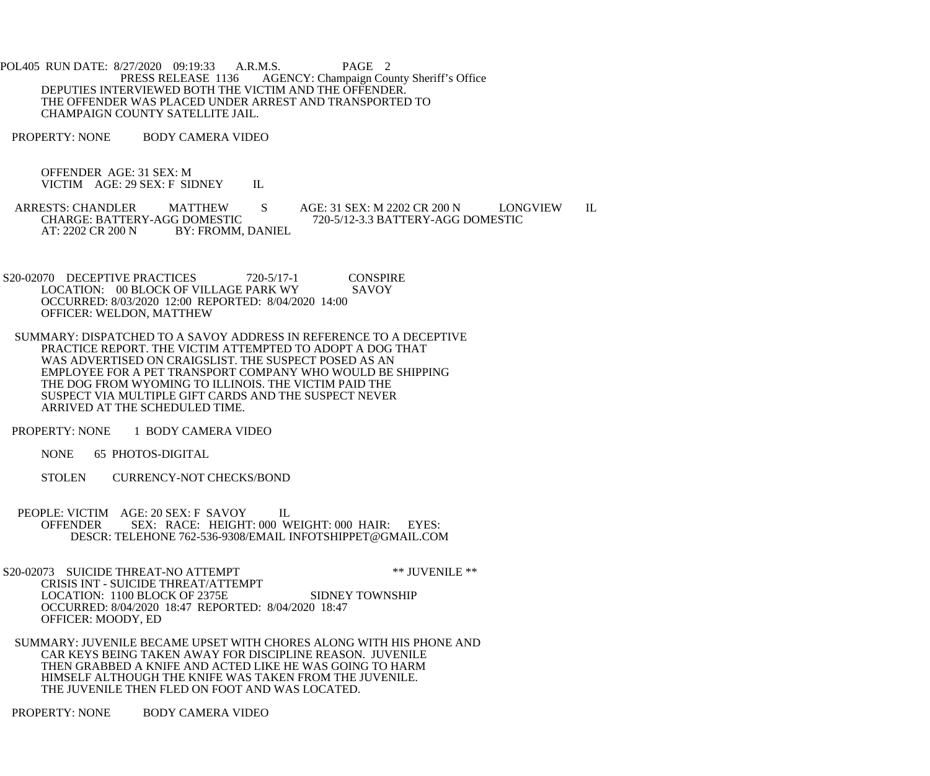POL405 RUN DATE: 8/27/2020 09:19:33 A.R.M.S. PAGE 2<br>PRESS RELEASE 1136 AGENCY: Champaign Cou AGENCY: Champaign County Sheriff's Office DEPUTIES INTERVIEWED BOTH THE VICTIM AND THE OFFENDER. THE OFFENDER WAS PLACED UNDER ARREST AND TRANSPORTED TO CHAMPAIGN COUNTY SATELLITE JAIL.

PROPERTY: NONE BODY CAMERA VIDEO

 OFFENDER AGE: 31 SEX: M VICTIM AGE: 29 SEX: F SIDNEY IL

ARRESTS: CHANDLER MATTHEW S AGE: 31 SEX: M 2202 CR 200 N LONGVIEW IL<br>CHARGE: BATTERY-AGG DOMESTIC 720-5/12-3.3 BATTERY-AGG DOMESTIC CHARGE: BATTERY-AGG DOMESTIC 720-5/12-3.3 BATTERY-AGG DOMESTIC<br>AT: 2202 CR 200 N BY: FROMM, DANIEL BY: FROMM, DANIEL

S20-02070 DECEPTIVE PRACTICES 720-5/17-1 CONSPIRE<br>LOCATION: 00 BLOCK OF VILLAGE PARK WY SAVOY LOCATION: 00 BLOCK OF VILLAGE PARK WY OCCURRED: 8/03/2020 12:00 REPORTED: 8/04/2020 14:00 OFFICER: WELDON, MATTHEW

 SUMMARY: DISPATCHED TO A SAVOY ADDRESS IN REFERENCE TO A DECEPTIVE PRACTICE REPORT. THE VICTIM ATTEMPTED TO ADOPT A DOG THAT WAS ADVERTISED ON CRAIGSLIST. THE SUSPECT POSED AS AN EMPLOYEE FOR A PET TRANSPORT COMPANY WHO WOULD BE SHIPPING THE DOG FROM WYOMING TO ILLINOIS. THE VICTIM PAID THE SUSPECT VIA MULTIPLE GIFT CARDS AND THE SUSPECT NEVER ARRIVED AT THE SCHEDULED TIME.

PROPERTY: NONE 1 BODY CAMERA VIDEO

NONE 65 PHOTOS-DIGITAL

- STOLEN CURRENCY-NOT CHECKS/BOND
- PEOPLE: VICTIM AGE: 20 SEX: F SAVOY IL OFFENDER SEX: RACE: HEIGHT: 000 WEIGHT: 000 HAIR: EYES: DESCR: TELEHONE 762-536-9308/EMAIL INFOTSHIPPET@GMAIL.COM

S20-02073 SUICIDE THREAT-NO ATTEMPT \*\*\* JUVENILE \*\* CRISIS INT - SUICIDE THREAT/ATTEMPT LOCATION: 1100 BLOCK OF 2375E SIDNEY TOWNSHIP OCCURRED: 8/04/2020 18:47 REPORTED: 8/04/2020 18:47 OFFICER: MOODY, ED

 SUMMARY: JUVENILE BECAME UPSET WITH CHORES ALONG WITH HIS PHONE AND CAR KEYS BEING TAKEN AWAY FOR DISCIPLINE REASON. JUVENILE THEN GRABBED A KNIFE AND ACTED LIKE HE WAS GOING TO HARM HIMSELF ALTHOUGH THE KNIFE WAS TAKEN FROM THE JUVENILE. THE JUVENILE THEN FLED ON FOOT AND WAS LOCATED.

PROPERTY: NONE BODY CAMERA VIDEO